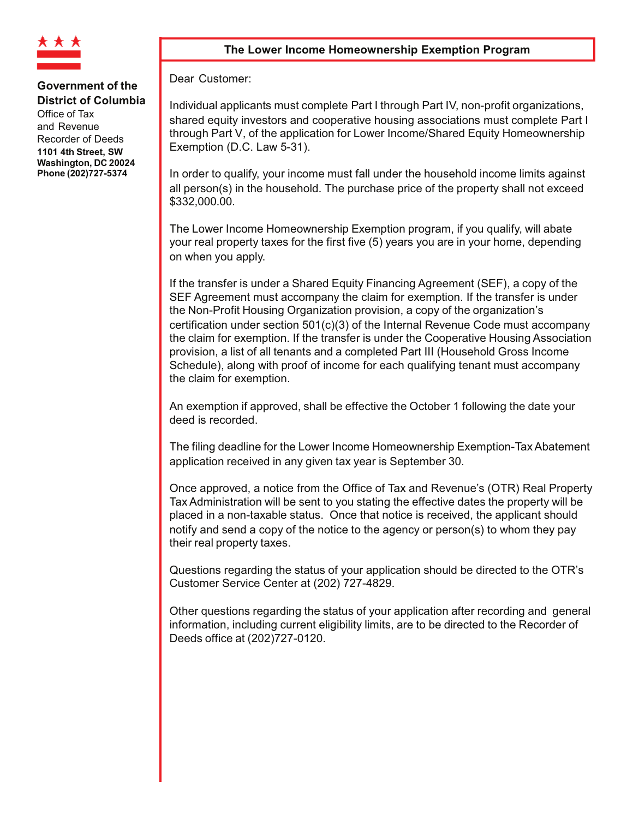

Office of Tax and Revenue Recorder of Deeds 1101 4th Street. SW Washington, DC 20024 Phone (202)727-5374

### The Lower Income Homeownership Exemption Program

Dear Customer:

Individual applicants must complete Part I through Part IV, non-profit organizations, shared equity investors and cooperative housing associations must complete Part I through Part V, of the application for Lower Income/Shared Equity Homeownership Exemption (D.C. Law 5-31).

In order to qualify, your income must fall under the household income limits against all person(s) in the household. The purchase price of the property shall not exceed \$332,000.00.

The Lower Income Homeownership Exemption program, if you qualify, will abate your real property taxes for the first five (5) years you are in your home, depending on when you apply.

If the transfer is under a Shared Equity Financing Agreement (SEF), a copy of the SEF Agreement must accompany the claim for exemption. If the transfer is under the Non-Profit Housing Organization provision, a copy of the organization's certification under section 501(c)(3) of the Internal Revenue Code must accompany the claim for exemption. If the transfer is under the Cooperative Housing Association provision, a list of all tenants and a completed Part III (Household Gross Income Schedule), along with proof of income for each qualifying tenant must accompany the claim for exemption.

An exemption if approved, shall be effective the October 1 following the date your deed is recorded.

The filing deadline for the Lower Income Homeownership Exemption-Tax Abatement application received in any given tax year is September 30.

Once approved, a notice from the Office of Tax and Revenue's (OTR) Real Property Tax Administration will be sent to you stating the effective dates the property will be placed in a non-taxable status. Once that notice is received, the applicant should notify and send a copy of the notice to the agency or person(s) to whom they pay their real property taxes.

Questions regarding the status of your application should be directed to the OTR's Customer Service Center at (202) 727-4829.

Other questions regarding the status of your application after recording and general information, including current eligibility limits, are to be directed to the Recorder of Deeds office at (202)727-0120.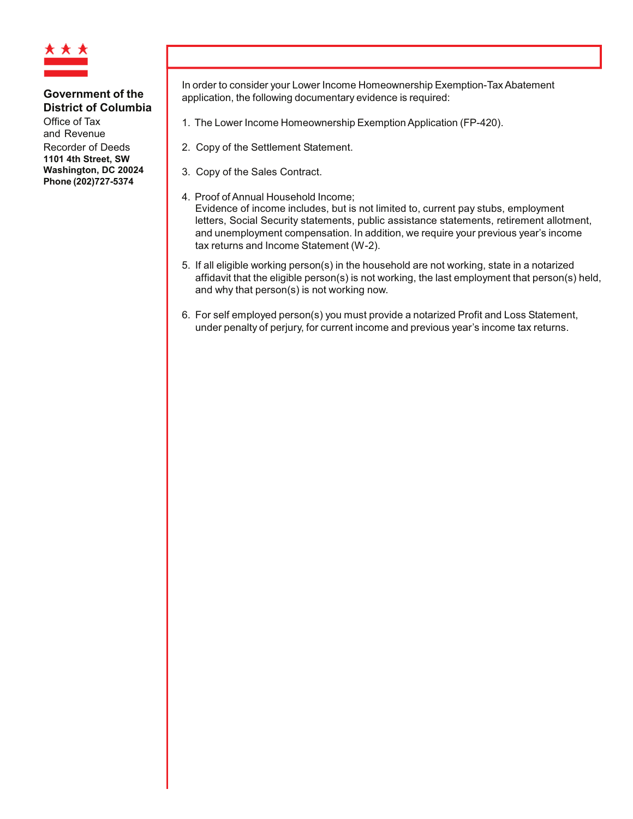

Office of Tax and Revenue

Recorder of Deeds 1101 4th Street. SW Washington, DC 20024 Phone (202)727-5374

In order to consider your Lower Income Homeownership Exemption-Tax Abatement application, the following documentary evidence is required:

- 1. The Lower Income Homeownership Exemption Application (FP-420).
- 2. Copy of the Settlement Statement.
- 3. Copy of the Sales Contract.
- 4. Proof of Annual Household Income; Evidence of income includes, but is not limited to, current pay stubs, employment letters, Social Security statements, public assistance statements, retirement allotment, and unemployment compensation. In addition, we require your previous year's income tax returns and Income Statement (W-2).
- 5. If all eligible working person(s) in the household are not working, state in a notarized affidavit that the eligible person(s) is not working, the last employment that person(s) held, and why that person(s) is not working now.
- 6. For self employed person(s) you must provide a notarized Profit and Loss Statement, under penalty of perjury, for current income and previous year's income tax returns.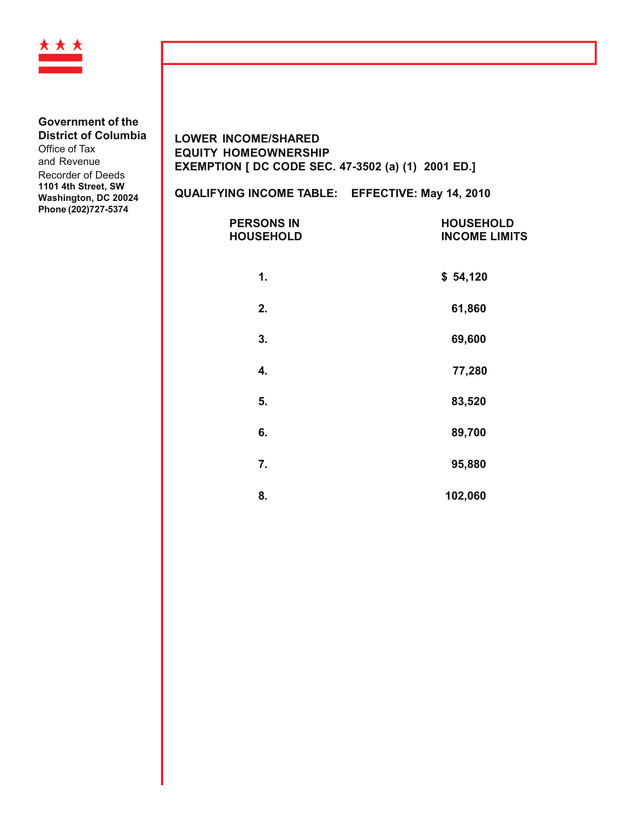

Office of Tax and Revenue Recorder of Deeds 1101 4th Street, SW Washington, DC 20024 Phone (202)727-5374

## **LOWER INCOME/SHARED EQUITY HOMEOWNERSHIP** EXEMPTION [ DC CODE SEC. 47-3502 (a) (1) 2001 ED.]

# QUALIFYING INCOME TABLE: EFFECTIVE: May 14, 2010

| <b>PERSONS IN</b><br><b>HOUSEHOLD</b> | <b>HOUSEHOLD</b><br><b>INCOME LIMITS</b> |
|---------------------------------------|------------------------------------------|
| 1.                                    | \$54,120                                 |
| 2.                                    | 61,860                                   |
| 3.                                    | 69,600                                   |
| 4.                                    | 77,280                                   |
| 5.                                    | 83,520                                   |
| 6.                                    | 89,700                                   |
| 7.                                    | 95,880                                   |
| 8.                                    | 102.060                                  |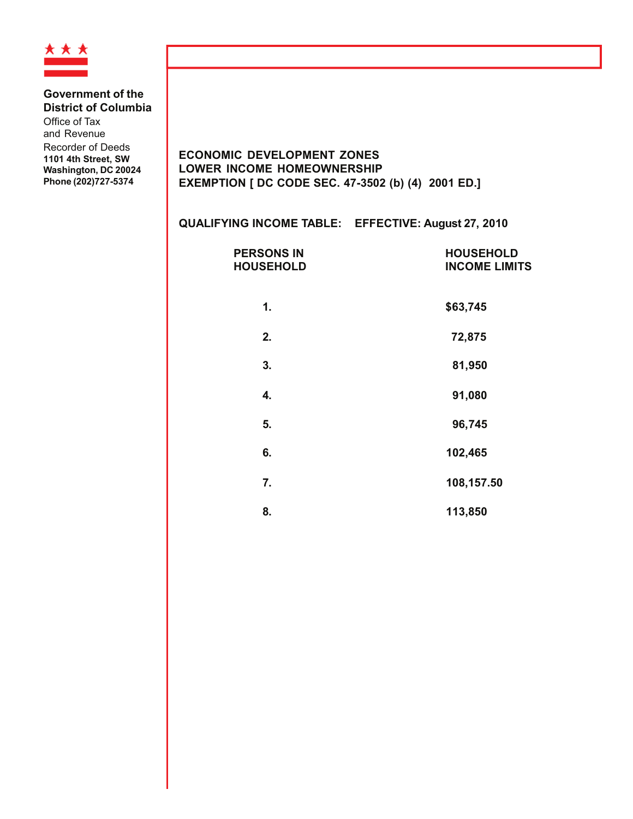

Office of Tax and Revenue Recorder of Deeds

1101 4th Street, SW Washington, DC 20024 Phone (202)727-5374

**ECONOMIC DEVELOPMENT ZONES** LOWER INCOME HOMEOWNERSHIP EXEMPTION [ DC CODE SEC. 47-3502 (b) (4) 2001 ED.]

| QUALIFYING INCOME TABLE: EFFECTIVE: August 27, 2010 |                                          |
|-----------------------------------------------------|------------------------------------------|
| <b>PERSONS IN</b><br><b>HOUSEHOLD</b>               | <b>HOUSEHOLD</b><br><b>INCOME LIMITS</b> |
| 1.                                                  | \$63,745                                 |
| 2.                                                  | 72,875                                   |
| 3.                                                  | 81,950                                   |
| 4.                                                  | 91,080                                   |
| 5.                                                  | 96,745                                   |
| 6.                                                  | 102,465                                  |
| 7.                                                  | 108,157.50                               |
| 8.                                                  | 113,850                                  |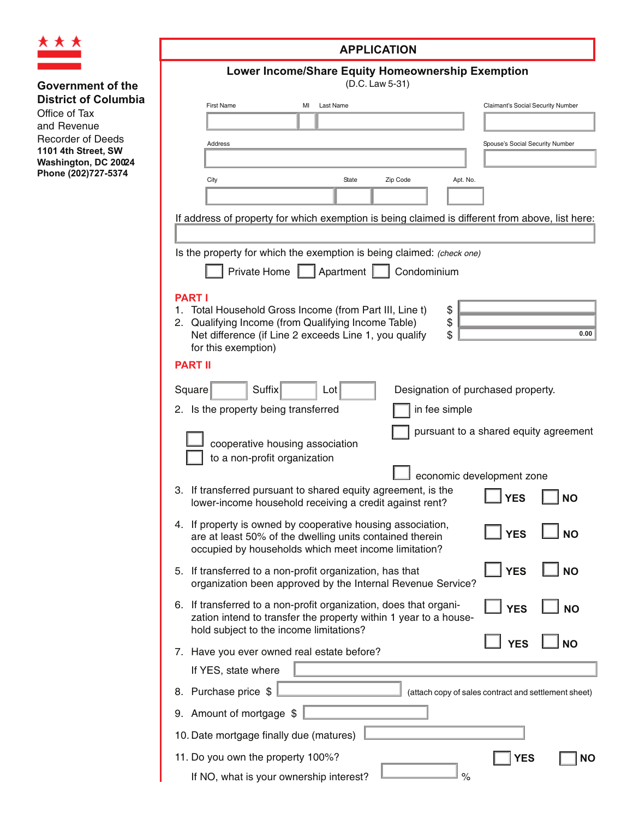

# **Government of the District of Columbia** Office of Tax and Revenue Recorder of Deeds **1101 4th Street, SW Washington, DC 20024** Phone (202)727-5374

| <b>APPLICATION</b>                                                                                                                                                                                                                           |  |  |  |  |
|----------------------------------------------------------------------------------------------------------------------------------------------------------------------------------------------------------------------------------------------|--|--|--|--|
| <b>Lower Income/Share Equity Homeownership Exemption</b><br>(D.C. Law 5-31)                                                                                                                                                                  |  |  |  |  |
| <b>First Name</b><br>MI<br>Last Name<br>Claimant's Social Security Number                                                                                                                                                                    |  |  |  |  |
|                                                                                                                                                                                                                                              |  |  |  |  |
| Address<br>Spouse's Social Security Number                                                                                                                                                                                                   |  |  |  |  |
|                                                                                                                                                                                                                                              |  |  |  |  |
| City<br>State<br>Zip Code<br>Apt. No.                                                                                                                                                                                                        |  |  |  |  |
| If address of property for which exemption is being claimed is different from above, list here:                                                                                                                                              |  |  |  |  |
| Is the property for which the exemption is being claimed: (check one)<br>Private Home<br>Apartment    <br>Condominium                                                                                                                        |  |  |  |  |
| <b>PART I</b><br>1. Total Household Gross Income (from Part III, Line t)<br>\$<br>\$<br>Qualifying Income (from Qualifying Income Table)<br>2.<br>\$<br>0.00<br>Net difference (if Line 2 exceeds Line 1, you qualify<br>for this exemption) |  |  |  |  |
| <b>PART II</b>                                                                                                                                                                                                                               |  |  |  |  |
| Suffix<br>Square<br>Designation of purchased property.<br>Lot                                                                                                                                                                                |  |  |  |  |
| 2. Is the property being transferred<br>in fee simple                                                                                                                                                                                        |  |  |  |  |
| pursuant to a shared equity agreement<br>cooperative housing association<br>to a non-profit organization                                                                                                                                     |  |  |  |  |
| economic development zone<br>3. If transferred pursuant to shared equity agreement, is the<br><b>YES</b><br><b>NO</b><br>lower-income household receiving a credit against rent?                                                             |  |  |  |  |
| 4. If property is owned by cooperative housing association,<br><b>YES</b><br><b>NO</b><br>are at least 50% of the dwelling units contained therein<br>occupied by households which meet income limitation?                                   |  |  |  |  |
| <b>YES</b><br><b>NO</b><br>5. If transferred to a non-profit organization, has that<br>organization been approved by the Internal Revenue Service?                                                                                           |  |  |  |  |
| 6. If transferred to a non-profit organization, does that organi-<br><b>YES</b><br><b>NO</b><br>zation intend to transfer the property within 1 year to a house-<br>hold subject to the income limitations?                                  |  |  |  |  |
| <b>NO</b><br><b>YES</b><br>7. Have you ever owned real estate before?                                                                                                                                                                        |  |  |  |  |
| If YES, state where                                                                                                                                                                                                                          |  |  |  |  |
| 8. Purchase price \$<br>(attach copy of sales contract and settlement sheet)                                                                                                                                                                 |  |  |  |  |
| 9. Amount of mortgage \$                                                                                                                                                                                                                     |  |  |  |  |
| 10. Date mortgage finally due (matures)                                                                                                                                                                                                      |  |  |  |  |
| 11. Do you own the property 100%?<br>YES<br><b>NO</b>                                                                                                                                                                                        |  |  |  |  |
| %<br>If NO, what is your ownership interest?                                                                                                                                                                                                 |  |  |  |  |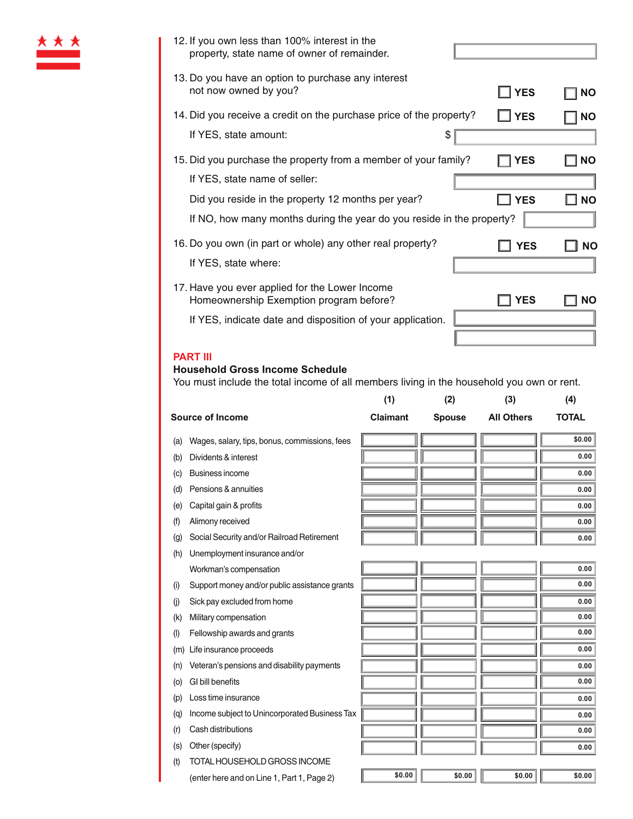| 12. If you own less than 100% interest in the<br>property, state name of owner of remainder.                                                                 |            |           |
|--------------------------------------------------------------------------------------------------------------------------------------------------------------|------------|-----------|
| 13. Do you have an option to purchase any interest<br>not now owned by you?                                                                                  | <b>YES</b> | <b>NO</b> |
| 14. Did you receive a credit on the purchase price of the property?<br>If YES, state amount:<br>3                                                            | <b>YES</b> | <b>NO</b> |
| 15. Did you purchase the property from a member of your family?                                                                                              | YES        | <b>NO</b> |
| If YES, state name of seller:<br>Did you reside in the property 12 months per year?<br>If NO, how many months during the year do you reside in the property? | <b>YES</b> | <b>NO</b> |
| 16. Do you own (in part or whole) any other real property?<br>If YES, state where:                                                                           | <b>YES</b> | <b>NO</b> |
| 17. Have you ever applied for the Lower Income<br>Homeownership Exemption program before?<br>If YES, indicate date and disposition of your application.      | YES        | NΟ        |
|                                                                                                                                                              |            |           |

### **PART III**

### $H$ ousehold Gross Income Schedule

You must include the total income of all members living in the household you own or rent.

|           |                                               | (1)             | (2)           | (3)               | (4)          |
|-----------|-----------------------------------------------|-----------------|---------------|-------------------|--------------|
|           | <b>Source of Income</b>                       | <b>Claimant</b> | <b>Spouse</b> | <b>All Others</b> | <b>TOTAL</b> |
| (a)       | Wages, salary, tips, bonus, commissions, fees |                 |               |                   | \$0.00       |
| (b)       | Dividents & interest                          |                 |               |                   | 0.00         |
| (c)       | Business income                               |                 |               |                   | 0.00         |
| (d)       | Pensions & annuities                          |                 |               |                   | 0.00         |
| (e)       | Capital gain & profits                        |                 |               |                   | 0.00         |
| (f)       | Alimony received                              |                 |               |                   | 0.00         |
| (g)       | Social Security and/or Railroad Retirement    |                 |               |                   | 0.00         |
| (h)       | Unemployment insurance and/or                 |                 |               |                   |              |
|           | Workman's compensation                        |                 |               |                   | 0.00         |
| (i)       | Support money and/or public assistance grants |                 |               |                   | 0.00         |
| (j)       | Sick pay excluded from home                   |                 |               |                   | 0.00         |
| (k)       | Military compensation                         |                 |               |                   | 0.00         |
| $($ l $)$ | Fellowship awards and grants                  |                 |               |                   | 0.00         |
| (m)       | Life insurance proceeds                       |                 |               |                   | 0.00         |
| (n)       | Veteran's pensions and disability payments    |                 |               |                   | 0.00         |
| (o)       | GI bill benefits                              |                 |               |                   | 0.00         |
| (p)       | Loss time insurance                           |                 |               |                   | 0.00         |
| (q)       | Income subject to Unincorporated Business Tax |                 |               |                   | 0.00         |
| (r)       | Cash distributions                            |                 |               |                   | 0.00         |
| (s)       | Other (specify)                               |                 |               |                   | 0.00         |
| (t)       | TOTAL HOUSEHOLD GROSS INCOME                  |                 |               |                   |              |
|           | (enter here and on Line 1, Part 1, Page 2)    | \$0.00          | \$0.00        | \$0.00            | \$0.00       |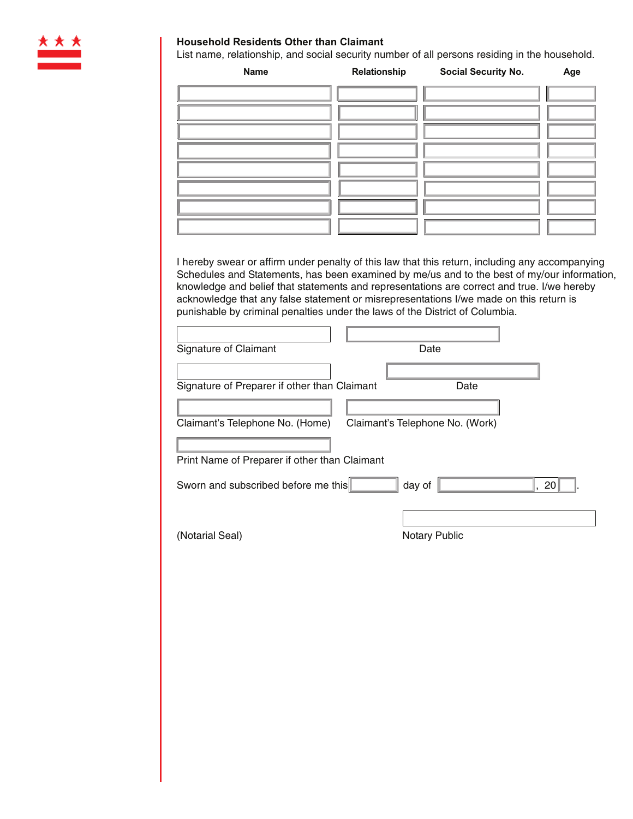

## **Household Residents Other than Claimant**

List name, relationship, and social security number of all persons residing in the household.

| Signature of Preparer if other than Claimant | Date                                          |                                                                                                                                                                                                                                                                                                                                                                                                                                                                                                                             |
|----------------------------------------------|-----------------------------------------------|-----------------------------------------------------------------------------------------------------------------------------------------------------------------------------------------------------------------------------------------------------------------------------------------------------------------------------------------------------------------------------------------------------------------------------------------------------------------------------------------------------------------------------|
|                                              |                                               |                                                                                                                                                                                                                                                                                                                                                                                                                                                                                                                             |
|                                              |                                               |                                                                                                                                                                                                                                                                                                                                                                                                                                                                                                                             |
|                                              |                                               |                                                                                                                                                                                                                                                                                                                                                                                                                                                                                                                             |
|                                              |                                               |                                                                                                                                                                                                                                                                                                                                                                                                                                                                                                                             |
| Sworn and subscribed before me this          |                                               | 20                                                                                                                                                                                                                                                                                                                                                                                                                                                                                                                          |
|                                              |                                               |                                                                                                                                                                                                                                                                                                                                                                                                                                                                                                                             |
|                                              | <b>Notary Public</b>                          |                                                                                                                                                                                                                                                                                                                                                                                                                                                                                                                             |
|                                              |                                               |                                                                                                                                                                                                                                                                                                                                                                                                                                                                                                                             |
|                                              | Print Name of Preparer if other than Claimant | I hereby swear or affirm under penalty of this law that this return, including any accompanying<br>Schedules and Statements, has been examined by me/us and to the best of my/our information,<br>knowledge and belief that statements and representations are correct and true. I/we hereby<br>acknowledge that any false statement or misrepresentations I/we made on this return is<br>punishable by criminal penalties under the laws of the District of Columbia.<br>Date<br>Claimant's Telephone No. (Work)<br>day of |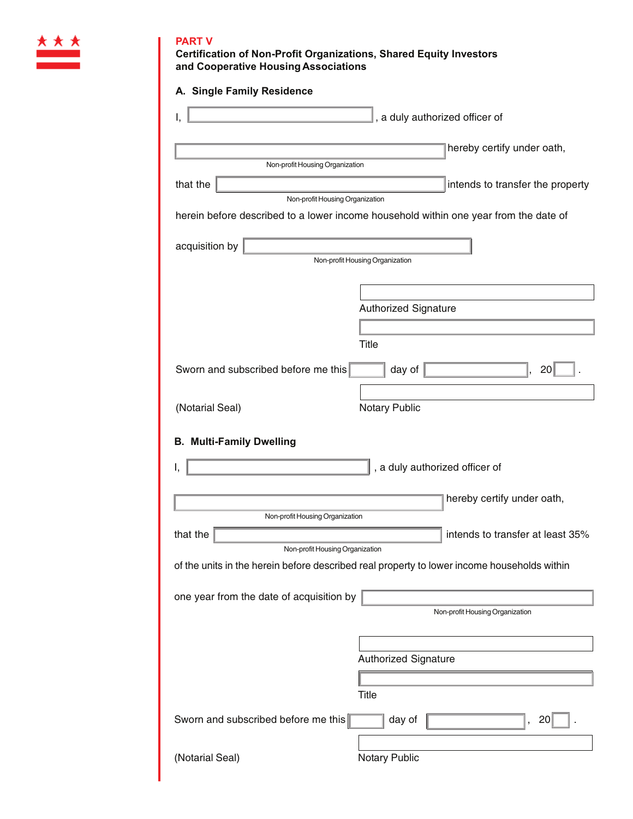

## **PART V**

**Certification of Non-Profit Organizations, Shared Equity Investors** and Cooperative Housing Associations

| A. Single Family Residence                                                                  |                                 |                                  |
|---------------------------------------------------------------------------------------------|---------------------------------|----------------------------------|
| Ι,                                                                                          | , a duly authorized officer of  |                                  |
|                                                                                             |                                 | hereby certify under oath,       |
| Non-profit Housing Organization                                                             |                                 |                                  |
| that the                                                                                    |                                 | intends to transfer the property |
| Non-profit Housing Organization                                                             |                                 |                                  |
| herein before described to a lower income household within one year from the date of        |                                 |                                  |
| acquisition by                                                                              |                                 |                                  |
|                                                                                             | Non-profit Housing Organization |                                  |
|                                                                                             |                                 |                                  |
|                                                                                             |                                 |                                  |
|                                                                                             | <b>Authorized Signature</b>     |                                  |
|                                                                                             |                                 |                                  |
|                                                                                             | Title                           |                                  |
| Sworn and subscribed before me this                                                         | day of                          | 20                               |
|                                                                                             |                                 |                                  |
| (Notarial Seal)                                                                             | <b>Notary Public</b>            |                                  |
| <b>B. Multi-Family Dwelling</b><br>I.                                                       | , a duly authorized officer of  |                                  |
|                                                                                             |                                 | hereby certify under oath,       |
| Non-profit Housing Organization                                                             |                                 |                                  |
| that the                                                                                    |                                 | intends to transfer at least 35% |
| Non-profit Housing Organization                                                             |                                 |                                  |
| of the units in the herein before described real property to lower income households within |                                 |                                  |
| one year from the date of acquisition by                                                    |                                 | Non-profit Housing Organization  |
|                                                                                             |                                 |                                  |
|                                                                                             |                                 |                                  |
|                                                                                             | Authorized Signature            |                                  |
|                                                                                             |                                 |                                  |
|                                                                                             | Title                           |                                  |
| Sworn and subscribed before me this                                                         | day of                          | 20<br>$\mathbf{r}$               |
|                                                                                             |                                 |                                  |
| (Notarial Seal)                                                                             | <b>Notary Public</b>            |                                  |